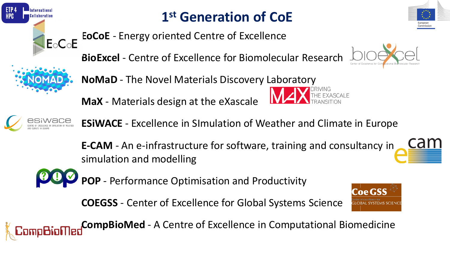

 $E \circ C \circ E$ 

# **1 st Generation of CoE**

**EoCoE** - Energy oriented Centre of Excellence

**BioExcel** - Centre of Excellence for Biomolecular Research



**MaX** - Materials design at the eXascale





**ESiWACE** - Excellence in SImulation of Weather and Climate in Europe

**E-CAM** - An e-infrastructure for software, training and consultancy in simulation and modelling



**POP** - Performance Optimisation and Productivity

**COEGSS** - Center of Excellence for Global Systems Science



**CompBioMed** - A Centre of Excellence in Computational Biomedicine



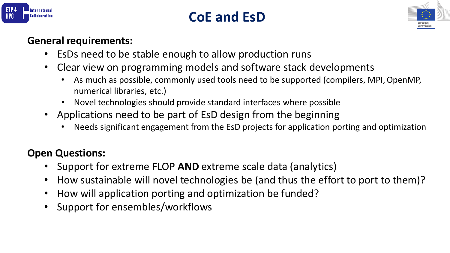

#### **CoE and EsD**



#### **General requirements:**

- EsDs need to be stable enough to allow production runs
- Clear view on programming models and software stack developments
	- As much as possible, commonly used tools need to be supported (compilers, MPI, OpenMP, numerical libraries, etc.)
	- Novel technologies should provide standard interfaces where possible
- Applications need to be part of EsD design from the beginning
	- Needs significant engagement from the EsD projects for application porting and optimization

#### **Open Questions:**

- Support for extreme FLOP **AND** extreme scale data (analytics)
- How sustainable will novel technologies be (and thus the effort to port to them)?
- How will application porting and optimization be funded?
- Support for ensembles/workflows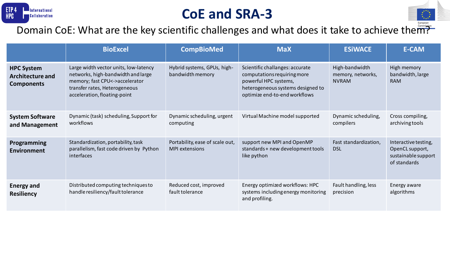

### **CoE and SRA-3**



|                                                                   | <b>BioExcel</b>                                                                                                                                                                | <b>CompBioMed</b>                                        | <b>MaX</b>                                                                                                                                                    | <b>ESIWACE</b>                                      | <b>E-CAM</b>                                                                   |
|-------------------------------------------------------------------|--------------------------------------------------------------------------------------------------------------------------------------------------------------------------------|----------------------------------------------------------|---------------------------------------------------------------------------------------------------------------------------------------------------------------|-----------------------------------------------------|--------------------------------------------------------------------------------|
| <b>HPC System</b><br><b>Architecture and</b><br><b>Components</b> | Large width vector units, low-latency<br>networks, high-bandwidth and large<br>memory; fast CPU<->accelerator<br>transfer rates, Heterogeneous<br>acceleration, floating-point | Hybrid systems, GPUs, high-<br>bandwidth memory          | Scientific challanges: accurate<br>computations requiring more<br>powerful HPC systems,<br>heterogeneous systems designed to<br>optimize end-to-end workflows | High-bandwidth<br>memory, networks,<br><b>NVRAM</b> | High memory<br>bandwidth, large<br><b>RAM</b>                                  |
| <b>System Software</b><br>and Management                          | Dynamic (task) scheduling, Support for<br>workflows                                                                                                                            | Dynamic scheduling, urgent<br>computing                  | Virtual Machine model supported                                                                                                                               | Dynamic scheduling,<br>compilers                    | Cross compiling,<br>archiving tools                                            |
| Programming<br><b>Environment</b>                                 | Standardization, portability, task<br>parallelism, fast code driven by Python<br>interfaces                                                                                    | Portability, ease of scale out,<br><b>MPI</b> extensions | support new MPI and OpenMP<br>standards + new development tools<br>like python                                                                                | Fast standardization,<br><b>DSL</b>                 | Interactive testing,<br>OpenCL support,<br>sustainable support<br>of standards |
| <b>Energy and</b><br><b>Resiliency</b>                            | Distributed computing techniques to<br>handle resiliency/fault tolerance                                                                                                       | Reduced cost, improved<br>fault tolerance                | Energy optimized workflows: HPC<br>systems including energy monitoring<br>and profiling.                                                                      | Fault handling, less<br>precision                   | Energy aware<br>algorithms                                                     |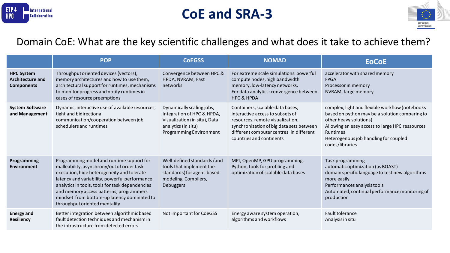

#### **CoE and SRA-3**



|                                                                   | <b>POP</b>                                                                                                                                                                                                                                                                                                                                                           | <b>CoEGSS</b>                                                                                                                              | <b>NOMAD</b>                                                                                                                                                                                                                | <b>EoCoE</b>                                                                                                                                                                                                                                                  |
|-------------------------------------------------------------------|----------------------------------------------------------------------------------------------------------------------------------------------------------------------------------------------------------------------------------------------------------------------------------------------------------------------------------------------------------------------|--------------------------------------------------------------------------------------------------------------------------------------------|-----------------------------------------------------------------------------------------------------------------------------------------------------------------------------------------------------------------------------|---------------------------------------------------------------------------------------------------------------------------------------------------------------------------------------------------------------------------------------------------------------|
| <b>HPC System</b><br><b>Architecture and</b><br><b>Components</b> | Throughput oriented devices (vectors),<br>memory architectures and how to use them,<br>architectural support for runtimes, mechanisms<br>to monitor progress and notify runtimes in<br>cases of resource preemptions                                                                                                                                                 | Convergence between HPC &<br>HPDA, NVRAM, Fast<br>networks                                                                                 | For extreme scale simulations: powerful<br>compute nodes, high bandwidth<br>memory, low-latency networks.<br>For data analytics: convergence between<br><b>HPC &amp; HPDA</b>                                               | accelerator with shared memory<br><b>FPGA</b><br>Processor in memory<br>NVRAM, large memory                                                                                                                                                                   |
| <b>System Software</b><br>and Management                          | Dynamic, interactive use of available resources,<br>tight and bidirectional<br>communication/cooperation between job<br>schedulers and runtimes                                                                                                                                                                                                                      | Dynamically scaling jobs,<br>Integration of HPC & HPDA,<br>Visualization (in situ), Data<br>analytics (in situ)<br>Programming Environment | Containers, scalable data bases,<br>interactive access to subsets of<br>resources, remote visualization,<br>synchronization of big data sets between<br>different computer centres in different<br>countries and continents | complex, light and flexible workflow (notebooks<br>based on python may be a solution comparing to<br>other heavy solutions)<br>Allowing an easy access to large HPC ressources<br><b>Runtimes</b><br>Heterogenous job handling for coupled<br>codes/libraries |
| Programming<br><b>Environment</b>                                 | Programming model and runtime support for<br>malleability, asynchrony/out of order task<br>execution, hide heterogeneity and tolerate<br>latency and variability, powerful performance<br>analytics in tools, tools for task dependencies<br>and memory access patterns, programmers<br>mindset from bottom-up latency dominated to<br>throughput oriented mentality | Well-defined standards/and<br>tools that implement the<br>standards) for agent-based<br>modeling, Compilers,<br>Debuggers                  | MPI, OpenMP, GPU programming,<br>Python, tools for profiling and<br>optimization of scalable data bases                                                                                                                     | Task programming<br>automatic optimization (as BOAST)<br>domain specific language to test new algorithms<br>more easily<br>Performances analysis tools<br>Automated, continual performance monitoring of<br>production                                        |
| <b>Energy and</b><br><b>Resiliency</b>                            | Better integration between algorithmic based<br>fault detection techniques and mechanism in<br>the infrastructure from detected errors                                                                                                                                                                                                                               | Not important for CoeGSS                                                                                                                   | Energy aware system operation,<br>algorithms and workflows                                                                                                                                                                  | Fault tolerance<br>Analysis in situ                                                                                                                                                                                                                           |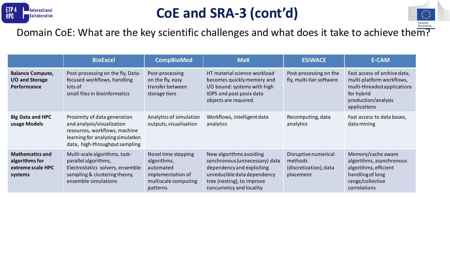

## **CoE and SRA-3 (cont'd)**



|                                                                          | <b>BioExcel</b>                                                                                                                                                    | <b>CompBioMed</b>                                                                                        | <b>MaX</b>                                                                                                                                                                      | <b>ESIWACE</b>                                                         | <b>E-CAM</b>                                                                                                                                  |
|--------------------------------------------------------------------------|--------------------------------------------------------------------------------------------------------------------------------------------------------------------|----------------------------------------------------------------------------------------------------------|---------------------------------------------------------------------------------------------------------------------------------------------------------------------------------|------------------------------------------------------------------------|-----------------------------------------------------------------------------------------------------------------------------------------------|
| <b>Balance Compute,</b><br>I/O and Storage<br>Performance                | Post-processing on the fly, Data-<br>focused workflows, handling<br>lots of<br>small files in bioinformatics                                                       | Post-processing<br>on the fly, easy<br>transfer between<br>storage tiers                                 | HT material science workload<br>becomes quickly memory and<br>I/O bound: systems with high<br>IOPS and post posix data<br>objects are required.                                 | Post-processing on the<br>fly, multi-tier software                     | Fast access of archive data,<br>multi-platform workflows,<br>multi-threaded applications<br>for hybrid<br>production/analysis<br>applications |
| <b>Big Data and HPC</b><br>usage Models                                  | Proximity of data generation<br>and analysis/visualization<br>resources, workflows, machine<br>learning for analyzing simulation<br>data, high-throughput sampling | Analytics of simulation<br>outputs, visualisation                                                        | Workflows, intelligent data<br>analytics                                                                                                                                        | Recomputing, data<br>analytics                                         | Fast access to data bases,<br>data mining                                                                                                     |
| <b>Mathematics and</b><br>algorithms for<br>extreme scale HPC<br>systems | Multi-scale algorithms, task-<br>parallel algorithms,<br>Electrostatics solvers, ensemble<br>sampling & clustering theory,<br>ensemble simulations                 | Novel time stepping<br>algorithms,<br>automated<br>implementation of<br>multiscale computing<br>patterns | New algorithms avoiding<br>synchronous (unnecessary) data<br>dependency and exploiting<br>unreducible data dependency<br>tree (nesting), to improve<br>concurrency and locality | Disruptive numerical<br>methods<br>(discretization), data<br>placement | Memory/cache aware<br>algorithms, asynchronous<br>algorithms, efficient<br>handling of long<br>range/collective<br>correlations               |